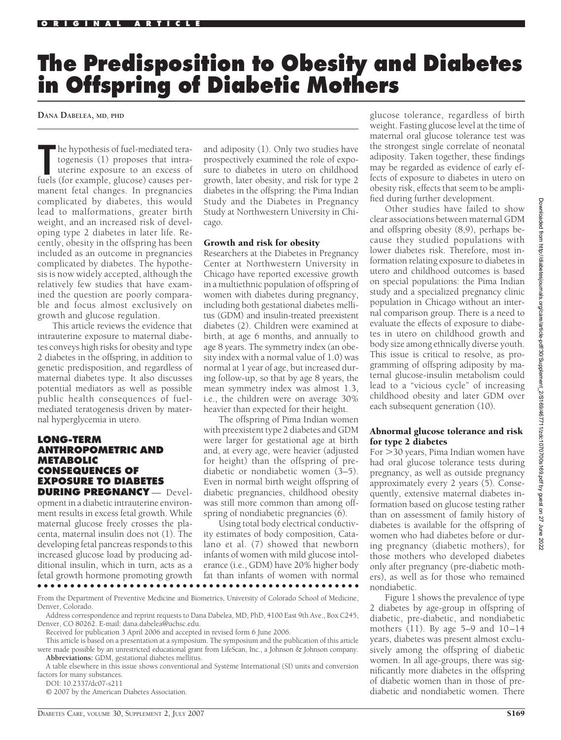# **The Predisposition to Obesity and Diabetes in Offspring of Diabetic Mothers**

**DANA DABELEA, MD, PHD**

The hypothesis of fuel-mediated tera-<br>togenesis (1) proposes that intra-<br>uterine exposure to an excess of<br>fuels (for example, glucose) causes perhe hypothesis of fuel-mediated teratogenesis (1) proposes that intrauterine exposure to an excess of manent fetal changes. In pregnancies complicated by diabetes, this would lead to malformations, greater birth weight, and an increased risk of developing type 2 diabetes in later life. Recently, obesity in the offspring has been included as an outcome in pregnancies complicated by diabetes. The hypothesis is now widely accepted, although the relatively few studies that have examined the question are poorly comparable and focus almost exclusively on growth and glucose regulation.

This article reviews the evidence that intrauterine exposure to maternal diabetes conveys high risks for obesity and type 2 diabetes in the offspring, in addition to genetic predisposition, and regardless of maternal diabetes type. It also discusses potential mediators as well as possible public health consequences of fuelmediated teratogenesis driven by maternal hyperglycemia in utero.

#### **LONG-TERM ANTHROPOMETRIC AND METABOLIC CONSEQUENCES OF EXPOSURE TO DIABETES DURING PREGNANCY** — Devel-

opment in a diabetic intrauterine environment results in excess fetal growth. While maternal glucose freely crosses the placenta, maternal insulin does not (1). The developing fetal pancreas responds to this increased glucose load by producing additional insulin, which in turn, acts as a fetal growth hormone promoting growth ●●●●●●●●●●●●●●●●●●●●●●●●●●●●●●●●●●●●●●●●●●●●●●●●●

and adiposity (1). Only two studies have prospectively examined the role of exposure to diabetes in utero on childhood growth, later obesity, and risk for type 2 diabetes in the offspring: the Pima Indian Study and the Diabetes in Pregnancy Study at Northwestern University in Chicago.

#### Growth and risk for obesity

Researchers at the Diabetes in Pregnancy Center at Northwestern University in Chicago have reported excessive growth in a multiethnic population of offspring of women with diabetes during pregnancy, including both gestational diabetes mellitus (GDM) and insulin-treated preexistent diabetes (2). Children were examined at birth, at age 6 months, and annually to age 8 years. The symmetry index (an obesity index with a normal value of 1.0) was normal at 1 year of age, but increased during follow-up, so that by age 8 years, the mean symmetry index was almost 1.3, i.e., the children were on average 30% heavier than expected for their height.

The offspring of Pima Indian women with preexistent type 2 diabetes and GDM were larger for gestational age at birth and, at every age, were heavier (adjusted for height) than the offspring of prediabetic or nondiabetic women (3–5). Even in normal birth weight offspring of diabetic pregnancies, childhood obesity was still more common than among offspring of nondiabetic pregnancies (6).

Using total body electrical conductivity estimates of body composition, Catalano et al. (7) showed that newborn infants of women with mild glucose intolerance (i.e., GDM) have 20% higher body fat than infants of women with normal

From the Department of Preventive Medicine and Biometrics, University of Colorado School of Medicine, Denver, Colorado.

Address correspondence and reprint requests to Dana Dabelea, MD, PhD, 4100 East 9th Ave., Box C245, Denver, CO 80262. E-mail: dana.dabelea@uchsc.edu.

Received for publication 3 April 2006 and accepted in revised form 6 June 2006.

This article is based on a presentation at a symposium. The symposium and the publication of this article were made possible by an unrestricted educational grant from LifeScan, Inc., a Johnson & Johnson company. **Abbreviations:** GDM, gestational diabetes mellitus.

A table elsewhere in this issue shows conventional and Système International (SI) units and conversion factors for many substances.

DOI: 10.2337/dc07-s211

© 2007 by the American Diabetes Association.

glucose tolerance, regardless of birth weight. Fasting glucose level at the time of maternal oral glucose tolerance test was the strongest single correlate of neonatal adiposity. Taken together, these findings may be regarded as evidence of early effects of exposure to diabetes in utero on obesity risk, effects that seem to be amplified during further development.

Other studies have failed to show clear associations between maternal GDM and offspring obesity (8,9), perhaps because they studied populations with lower diabetes risk. Therefore, most information relating exposure to diabetes in utero and childhood outcomes is based on special populations: the Pima Indian study and a specialized pregnancy clinic population in Chicago without an internal comparison group. There is a need to evaluate the effects of exposure to diabetes in utero on childhood growth and body size among ethnically diverse youth. This issue is critical to resolve, as programming of offspring adiposity by maternal glucose-insulin metabolism could lead to a "vicious cycle" of increasing childhood obesity and later GDM over each subsequent generation (10).

#### Abnormal glucose tolerance and risk for type 2 diabetes

For 30 years, Pima Indian women have had oral glucose tolerance tests during pregnancy, as well as outside pregnancy approximately every 2 years (5). Consequently, extensive maternal diabetes information based on glucose testing rather than on assessment of family history of diabetes is available for the offspring of women who had diabetes before or during pregnancy (diabetic mothers), for those mothers who developed diabetes only after pregnancy (pre-diabetic mothers), as well as for those who remained nondiabetic.

Figure 1 shows the prevalence of type 2 diabetes by age-group in offspring of diabetic, pre-diabetic, and nondiabetic mothers  $(11)$ . By age 5–9 and  $10-14$ years, diabetes was present almost exclusively among the offspring of diabetic women. In all age-groups, there was significantly more diabetes in the offspring of diabetic women than in those of prediabetic and nondiabetic women. There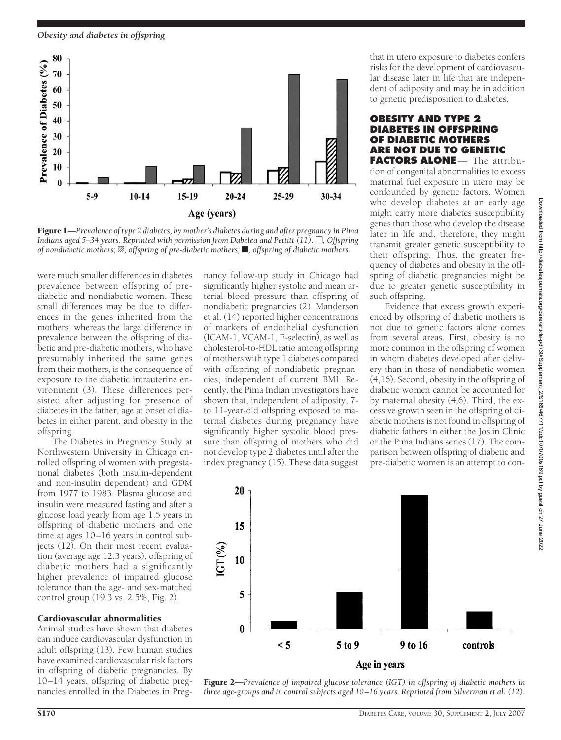

Figure 1—*Prevalence of type 2 diabetes, by mother's diabetes during and after pregnancy in Pima Indians aged 5–34 years. Reprinted with permission from Dabelea and Pettitt (11). □, Offspring of nondiabetic mothers;*  $\mathbb{Z}$ *, offspring of pre-diabetic mothers;* **■,** *offspring of diabetic mothers.* 

were much smaller differences in diabetes prevalence between offspring of prediabetic and nondiabetic women. These small differences may be due to differences in the genes inherited from the mothers, whereas the large difference in prevalence between the offspring of diabetic and pre-diabetic mothers, who have presumably inherited the same genes from their mothers, is the consequence of exposure to the diabetic intrauterine environment (3). These differences persisted after adjusting for presence of diabetes in the father, age at onset of diabetes in either parent, and obesity in the offspring.

The Diabetes in Pregnancy Study at Northwestern University in Chicago enrolled offspring of women with pregestational diabetes (both insulin-dependent and non-insulin dependent) and GDM from 1977 to 1983. Plasma glucose and insulin were measured fasting and after a glucose load yearly from age 1.5 years in offspring of diabetic mothers and one time at ages 10–16 years in control subjects (12). On their most recent evaluation (average age 12.3 years), offspring of diabetic mothers had a significantly higher prevalence of impaired glucose tolerance than the age- and sex-matched control group (19.3 vs. 2.5%, Fig. 2).

#### Cardiovascular abnormalities

Animal studies have shown that diabetes can induce cardiovascular dysfunction in adult offspring (13). Few human studies have examined cardiovascular risk factors in offspring of diabetic pregnancies. By 10–14 years, offspring of diabetic pregnancies enrolled in the Diabetes in Pregnancy follow-up study in Chicago had significantly higher systolic and mean arterial blood pressure than offspring of nondiabetic pregnancies (2). Manderson et al. (14) reported higher concentrations of markers of endothelial dysfunction (ICAM-1, VCAM-1, E-selectin), as well as cholesterol-to-HDL ratio among offspring of mothers with type 1 diabetes compared with offspring of nondiabetic pregnancies, independent of current BMI. Recently, the Pima Indian investigators have shown that, independent of adiposity, 7 to 11-year-old offspring exposed to maternal diabetes during pregnancy have significantly higher systolic blood pressure than offspring of mothers who did not develop type 2 diabetes until after the index pregnancy (15). These data suggest

that in utero exposure to diabetes confers risks for the development of cardiovascular disease later in life that are independent of adiposity and may be in addition to genetic predisposition to diabetes.

# **OBESITY AND TYPE 2 DIABETES IN OFFSPRING OF DIABETIC MOTHERS ARE NOT DUE TO GENETIC**

**FACTORS ALONE** — The attribution of congenital abnormalities to excess maternal fuel exposure in utero may be confounded by genetic factors. Women who develop diabetes at an early age might carry more diabetes susceptibility genes than those who develop the disease later in life and, therefore, they might transmit greater genetic susceptibility to their offspring. Thus, the greater frequency of diabetes and obesity in the offspring of diabetic pregnancies might be due to greater genetic susceptibility in such offspring.

Evidence that excess growth experienced by offspring of diabetic mothers is not due to genetic factors alone comes from several areas. First, obesity is no more common in the offspring of women in whom diabetes developed after delivery than in those of nondiabetic women (4,16). Second, obesity in the offspring of diabetic women cannot be accounted for by maternal obesity (4,6). Third, the excessive growth seen in the offspring of diabetic mothers is not found in offspring of diabetic fathers in either the Joslin Clinic or the Pima Indians series (17). The comparison between offspring of diabetic and pre-diabetic women is an attempt to con-





Figure 2—*Prevalence of impaired glucose tolerance (IGT) in offspring of diabetic mothers in three age-groups and in control subjects aged 10 –16 years. Reprinted from Silverman et al. (12).*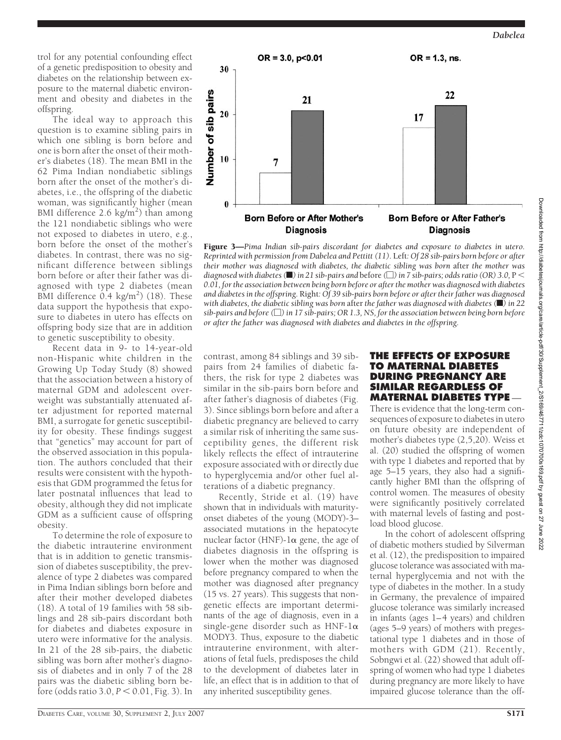*Dabelea*

trol for any potential confounding effect of a genetic predisposition to obesity and diabetes on the relationship between exposure to the maternal diabetic environment and obesity and diabetes in the offspring.

The ideal way to approach this question is to examine sibling pairs in which one sibling is born before and one is born after the onset of their mother's diabetes (18). The mean BMI in the 62 Pima Indian nondiabetic siblings born after the onset of the mother's diabetes, i.e., the offspring of the diabetic woman, was significantly higher (mean BMI difference 2.6  $\text{kg/m}^2$ ) than among the 121 nondiabetic siblings who were not exposed to diabetes in utero, e.g., born before the onset of the mother's diabetes. In contrast, there was no significant difference between siblings born before or after their father was diagnosed with type 2 diabetes (mean BMI difference  $0.4 \text{ kg/m}^2$ ) (18). These data support the hypothesis that exposure to diabetes in utero has effects on offspring body size that are in addition to genetic susceptibility to obesity.

Recent data in 9- to 14-year-old non-Hispanic white children in the Growing Up Today Study (8) showed that the association between a history of maternal GDM and adolescent overweight was substantially attenuated after adjustment for reported maternal BMI, a surrogate for genetic susceptibility for obesity. These findings suggest that "genetics" may account for part of the observed association in this population. The authors concluded that their results were consistent with the hypothesis that GDM programmed the fetus for later postnatal influences that lead to obesity, although they did not implicate GDM as a sufficient cause of offspring obesity.

To determine the role of exposure to the diabetic intrauterine environment that is in addition to genetic transmission of diabetes susceptibility, the prevalence of type 2 diabetes was compared in Pima Indian siblings born before and after their mother developed diabetes (18). A total of 19 families with 58 siblings and 28 sib-pairs discordant both for diabetes and diabetes exposure in utero were informative for the analysis. In 21 of the 28 sib-pairs, the diabetic sibling was born after mother's diagnosis of diabetes and in only 7 of the 28 pairs was the diabetic sibling born before (odds ratio 3.0,  $P < 0.01$ , Fig. 3). In

contrast, among 84 siblings and 39 sibpairs from 24 families of diabetic fathers, the risk for type 2 diabetes was similar in the sib-pairs born before and after father's diagnosis of diabetes (Fig. 3). Since siblings born before and after a diabetic pregnancy are believed to carry a similar risk of inheriting the same susceptibility genes, the different risk likely reflects the effect of intrauterine exposure associated with or directly due to hyperglycemia and/or other fuel alterations of a diabetic pregnancy.

Recently, Stride et al. (19) have shown that in individuals with maturityonset diabetes of the young (MODY)-3– associated mutations in the hepatocyte nuclear factor (HNF)- $1\alpha$  gene, the age of diabetes diagnosis in the offspring is lower when the mother was diagnosed before pregnancy compared to when the mother was diagnosed after pregnancy (15 vs. 27 years). This suggests that nongenetic effects are important determinants of the age of diagnosis, even in a single-gene disorder such as HNF- $1\alpha$ MODY3. Thus, exposure to the diabetic intrauterine environment, with alterations of fetal fuels, predisposes the child to the development of diabetes later in life, an effect that is in addition to that of any inherited susceptibility genes.

#### **THE EFFECTS OF EXPOSURE TO MATERNAL DIABETES DURING PREGNANCY ARE SIMILAR REGARDLESS OF MATERNAL DIABETES TYPE**

There is evidence that the long-term consequences of exposure to diabetes in utero on future obesity are independent of mother's diabetes type (2,5,20). Weiss et al. (20) studied the offspring of women with type 1 diabetes and reported that by age 5–15 years, they also had a significantly higher BMI than the offspring of control women. The measures of obesity were significantly positively correlated with maternal levels of fasting and postload blood glucose.

In the cohort of adolescent offspring of diabetic mothers studied by Silverman et al. (12), the predisposition to impaired glucose tolerance was associated with maternal hyperglycemia and not with the type of diabetes in the mother. In a study in Germany, the prevalence of impaired glucose tolerance was similarly increased in infants (ages 1–4 years) and children (ages 5–9 years) of mothers with pregestational type 1 diabetes and in those of mothers with GDM (21). Recently, Sobngwi et al. (22) showed that adult offspring of women who had type 1 diabetes during pregnancy are more likely to have impaired glucose tolerance than the off-



Figure 3—*Pima Indian sib-pairs discordant for diabetes and exposure to diabetes in utero. Reprinted with permission from Dabelea and Pettitt (11).* Left*: Of 28 sib-pairs born before or after their mother was diagnosed with diabetes, the diabetic sibling was born* after *the mother was diagnosed with diabetes (*f*) in 21 sib-pairs and* before *(*-*) in 7 sib-pairs; odds ratio (OR) 3.0,* P - *0.01, for the association between being born before or after the mother was diagnosed with diabetes and diabetes in the offspring.* Right*: Of 39 sib-pairs born before or after their father was diagnosed with diabetes, the diabetic sibling was born* after *the father was diagnosed with diabetes (*f*) in 22 sib-pairs and before (*-*) in 17 sib-pairs; OR 1.3, NS, for the association between being born before or after the father was diagnosed with diabetes and diabetes in the offspring.*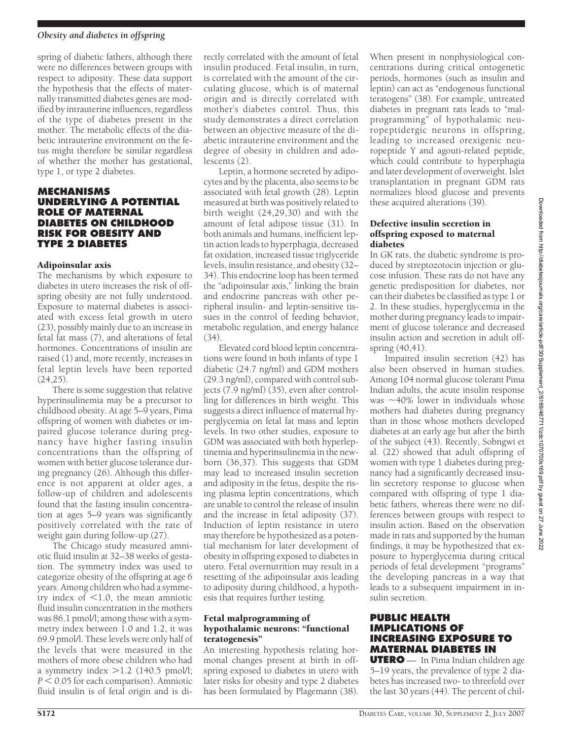# *Obesity and diabetes in offspring*

spring of diabetic fathers, although there were no differences between groups with respect to adiposity. These data support the hypothesis that the effects of maternally transmitted diabetes genes are modified by intrauterine influences, regardless of the type of diabetes present in the mother. The metabolic effects of the diabetic intrauterine environment on the fetus might therefore be similar regardless of whether the mother has gestational, type 1, or type 2 diabetes.

#### **MECHANISMS UNDERLYING A POTENTIAL ROLE OF MATERNAL DIABETES ON CHILDHOOD RISK FOR OBESITY AND TYPE 2 DIABETES**

#### Adipoinsular axis

The mechanisms by which exposure to diabetes in utero increases the risk of offspring obesity are not fully understood. Exposure to maternal diabetes is associated with excess fetal growth in utero (23), possibly mainly due to an increase in fetal fat mass (7), and alterations of fetal hormones. Concentrations of insulin are raised (1) and, more recently, increases in fetal leptin levels have been reported  $(24,25)$ .

There is some suggestion that relative hyperinsulinemia may be a precursor to childhood obesity. At age 5–9 years, Pima offspring of women with diabetes or impaired glucose tolerance during pregnancy have higher fasting insulin concentrations than the offspring of women with better glucose tolerance during pregnancy (26). Although this difference is not apparent at older ages, a follow-up of children and adolescents found that the fasting insulin concentration at ages 5–9 years was significantly positively correlated with the rate of weight gain during follow-up (27).

The Chicago study measured amniotic fluid insulin at 32–38 weeks of gestation. The symmetry index was used to categorize obesity of the offspring at age 6 years. Among children who had a symmetry index of  $<$ 1.0, the mean amniotic fluid insulin concentration in the mothers was 86.1 pmol/l; among those with a symmetry index between 1.0 and 1.2, it was 69.9 pmol/l. These levels were only half of the levels that were measured in the mothers of more obese children who had a symmetry index  $>1.2$  (140.5 pmol/l; *P* < 0.05 for each comparison). Amniotic fluid insulin is of fetal origin and is di-

rectly correlated with the amount of fetal insulin produced. Fetal insulin, in turn, is correlated with the amount of the circulating glucose, which is of maternal origin and is directly correlated with mother's diabetes control. Thus, this study demonstrates a direct correlation between an objective measure of the diabetic intrauterine environment and the degree of obesity in children and adolescents (2).

Leptin, a hormone secreted by adipocytes and by the placenta, also seems to be associated with fetal growth (28). Leptin measured at birth was positively related to birth weight (24,29,30) and with the amount of fetal adipose tissue (31). In both animals and humans, inefficient leptin action leads to hyperphagia, decreased fat oxidation, increased tissue triglyceride levels, insulin resistance, and obesity (32– 34). This endocrine loop has been termed the "adipoinsular axis," linking the brain and endocrine pancreas with other peripheral insulin- and leptin-sensitive tissues in the control of feeding behavior, metabolic regulation, and energy balance (34).

Elevated cord blood leptin concentrations were found in both infants of type 1 diabetic (24.7 ng/ml) and GDM mothers (29.3 ng/ml), compared with control subjects (7.9 ng/ml) (35), even after controlling for differences in birth weight. This suggests a direct influence of maternal hyperglycemia on fetal fat mass and leptin levels. In two other studies, exposure to GDM was associated with both hyperleptinemia and hyperinsulinemia in the newborn (36,37). This suggests that GDM may lead to increased insulin secretion and adiposity in the fetus, despite the rising plasma leptin concentrations, which are unable to control the release of insulin and the increase in fetal adiposity (37). Induction of leptin resistance in utero may therefore be hypothesized as a potential mechanism for later development of obesity in offspring exposed to diabetes in utero. Fetal overnutrition may result in a resetting of the adipoinsular axis leading to adiposity during childhood, a hypothesis that requires further testing.

#### Fetal malprogramming of hypothalamic neurons: "functional teratogenesis"

An interesting hypothesis relating hormonal changes present at birth in offspring exposed to diabetes in utero with later risks for obesity and type 2 diabetes has been formulated by Plagemann (38).

When present in nonphysiological concentrations during critical ontogenetic periods, hormones (such as insulin and leptin) can act as "endogenous functional teratogens" (38). For example, untreated diabetes in pregnant rats leads to "malprogramming" of hypothalamic neuropeptidergic neurons in offspring, leading to increased orexigenic neuropeptide Y and agouti-related peptide, which could contribute to hyperphagia and later development of overweight. Islet transplantation in pregnant GDM rats normalizes blood glucose and prevents these acquired alterations (39).

#### Defective insulin secretion in offspring exposed to maternal diabetes

In GK rats, the diabetic syndrome is produced by streptozotocin injection or glucose infusion. These rats do not have any genetic predisposition for diabetes, nor can their diabetes be classified as type 1 or 2. In these studies, hyperglycemia in the mother during pregnancy leads to impairment of glucose tolerance and decreased insulin action and secretion in adult offspring (40.41).

Impaired insulin secretion (42) has also been observed in human studies. Among 104 normal glucose tolerant Pima Indian adults, the acute insulin response was  $\sim$ 40% lower in individuals whose mothers had diabetes during pregnancy than in those whose mothers developed diabetes at an early age but after the birth of the subject (43). Recently, Sobngwi et al. (22) showed that adult offspring of women with type 1 diabetes during pregnancy had a significantly decreased insulin secretory response to glucose when compared with offspring of type 1 diabetic fathers, whereas there were no differences between groups with respect to insulin action. Based on the observation made in rats and supported by the human findings, it may be hypothesized that exposure to hyperglycemia during critical periods of fetal development "programs" the developing pancreas in a way that leads to a subsequent impairment in insulin secretion.

# **PUBLIC HEALTH IMPLICATIONS OF INCREASING EXPOSURE TO MATERNAL DIABETES IN**

**UTERO** — In Pima Indian children age 5–19 years, the prevalence of type 2 diabetes has increased two- to threefold over the last 30 years (44). The percent of chil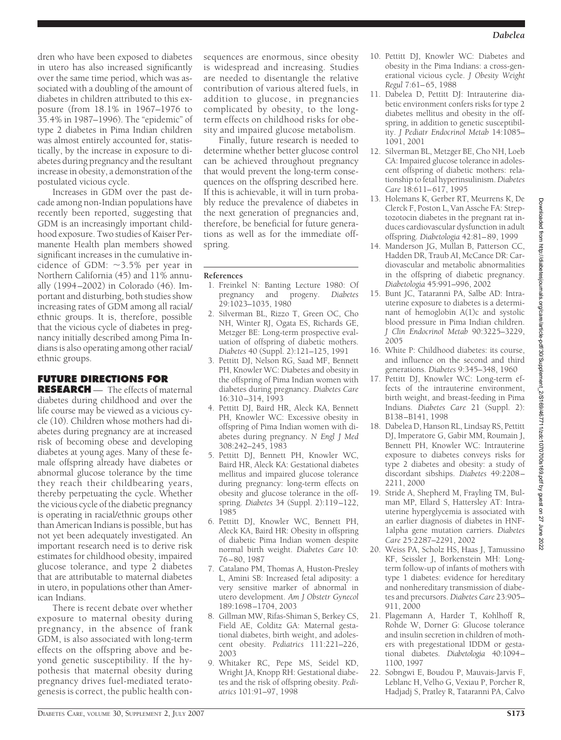dren who have been exposed to diabetes in utero has also increased significantly over the same time period, which was associated with a doubling of the amount of diabetes in children attributed to this exposure (from 18.1% in 1967–1976 to 35.4% in 1987–1996). The "epidemic" of type 2 diabetes in Pima Indian children was almost entirely accounted for, statistically, by the increase in exposure to diabetes during pregnancy and the resultant increase in obesity, a demonstration of the postulated vicious cycle.

Increases in GDM over the past decade among non-Indian populations have recently been reported, suggesting that GDM is an increasingly important childhood exposure. Two studies of Kaiser Permanente Health plan members showed significant increases in the cumulative incidence of GDM:  $\sim$ 3.5% per year in Northern California (45) and 11% annually (1994–2002) in Colorado (46). Important and disturbing, both studies show increasing rates of GDM among all racial/ ethnic groups. It is, therefore, possible that the vicious cycle of diabetes in pregnancy initially described among Pima Indians is also operating among other racial/ ethnic groups.

# **FUTURE DIRECTIONS FOR**

**RESEARCH** — The effects of maternal diabetes during childhood and over the life course may be viewed as a vicious cycle (10). Children whose mothers had diabetes during pregnancy are at increased risk of becoming obese and developing diabetes at young ages. Many of these female offspring already have diabetes or abnormal glucose tolerance by the time they reach their childbearing years, thereby perpetuating the cycle. Whether the vicious cycle of the diabetic pregnancy is operating in racial/ethnic groups other than American Indians is possible, but has not yet been adequately investigated. An important research need is to derive risk estimates for childhood obesity, impaired glucose tolerance, and type 2 diabetes that are attributable to maternal diabetes in utero, in populations other than American Indians.

There is recent debate over whether exposure to maternal obesity during pregnancy, in the absence of frank GDM, is also associated with long-term effects on the offspring above and beyond genetic susceptibility. If the hypothesis that maternal obesity during pregnancy drives fuel-mediated teratogenesis is correct, the public health consequences are enormous, since obesity is widespread and increasing. Studies are needed to disentangle the relative contribution of various altered fuels, in addition to glucose, in pregnancies complicated by obesity, to the longterm effects on childhood risks for obesity and impaired glucose metabolism.

Finally, future research is needed to determine whether better glucose control can be achieved throughout pregnancy that would prevent the long-term consequences on the offspring described here. If this is achievable, it will in turn probably reduce the prevalence of diabetes in the next generation of pregnancies and, therefore, be beneficial for future generations as well as for the immediate offspring.

# **References**

- 1. Freinkel N: Banting Lecture 1980: Of pregnancy and progeny. *Diabetes* 29:1023–1035, 1980
- 2. Silverman BL, Rizzo T, Green OC, Cho NH, Winter RJ, Ogata ES, Richards GE, Metzger BE: Long-term prospective evaluation of offspring of diabetic mothers. *Diabetes* 40 (Suppl. 2):121–125, 1991
- 3. Pettitt DJ, Nelson RG, Saad MF, Bennett PH, Knowler WC: Diabetes and obesity in the offspring of Pima Indian women with diabetes during pregnancy. *Diabetes Care* 16:310–314, 1993
- 4. Pettitt DJ, Baird HR, Aleck KA, Bennett PH, Knowler WC: Excessive obesity in offspring of Pima Indian women with diabetes during pregnancy. *N Engl J Med* 308:242–245, 1983
- 5. Pettitt DJ, Bennett PH, Knowler WC, Baird HR, Aleck KA: Gestational diabetes mellitus and impaired glucose tolerance during pregnancy: long-term effects on obesity and glucose tolerance in the offspring. *Diabetes* 34 (Suppl. 2):119–122, 1985
- 6. Pettitt DJ, Knowler WC, Bennett PH, Aleck KA, Baird HR: Obesity in offspring of diabetic Pima Indian women despite normal birth weight. *Diabetes Care* 10: 76–80, 1987
- 7. Catalano PM, Thomas A, Huston-Presley L, Amini SB: Increased fetal adiposity: a very sensitive marker of abnormal in utero development. *Am J Obstetr Gynecol* 189:1698–1704, 2003
- 8. Gillman MW, Rifas-Shiman S, Berkey CS, Field AE, Colditz GA: Maternal gestational diabetes, birth weight, and adolescent obesity. *Pediatrics* 111:221–226, 2003
- 9. Whitaker RC, Pepe MS, Seidel KD, Wright JA, Knopp RH: Gestational diabetes and the risk of offspring obesity. *Pediatrics* 101:91–97, 1998
- 10. Pettitt DJ, Knowler WC: Diabetes and obesity in the Pima Indians: a cross-generational vicious cycle. *J Obesity Weight Regul* 7:61–65, 1988
- 11. Dabelea D, Pettitt DJ: Intrauterine diabetic environment confers risks for type 2 diabetes mellitus and obesity in the offspring, in addition to genetic susceptibility. *J Pediatr Endocrinol Metab* 14:1085– 1091, 2001
- 12. Silverman BL, Metzger BE, Cho NH, Loeb CA: Impaired glucose tolerance in adolescent offspring of diabetic mothers: relationship to fetal hyperinsulinism.*Diabetes Care* 18:611–617, 1995
- 13. Holemans K, Gerber RT, Meurrens K, De Clerck F, Poston L, Van Assche FA: Streptozotocin diabetes in the pregnant rat induces cardiovascular dysfunction in adult offspring. *Diabetologia* 42:81–89, 1999
- 14. Manderson JG, Mullan B, Patterson CC, Hadden DR, Traub AI, McCance DR: Cardiovascular and metabolic abnormalities in the offspring of diabetic pregnancy. *Diabetologia* 45:991–996, 2002
- 15. Bunt JC, Tataranni PA, Salbe AD: Intrauterine exposure to diabetes is a determinant of hemoglobin A(1)c and systolic blood pressure in Pima Indian children. *J Clin Endocrinol Metab* 90:3225–3229, 2005
- 16. White P: Childhood diabetes: its course, and influence on the second and third generations. *Diabetes* 9:345–348, 1960
- 17. Pettitt DJ, Knowler WC: Long-term effects of the intrauterine environment, birth weight, and breast-feeding in Pima Indians. *Diabetes Care* 21 (Suppl. 2): B138–B141, 1998
- 18. Dabelea D, Hanson RL, Lindsay RS, Pettitt DJ, Imperatore G, Gabir MM, Roumain J, Bennett PH, Knowler WC: Intrauterine exposure to diabetes conveys risks for type 2 diabetes and obesity: a study of discordant sibships. *Diabetes* 49:2208– 2211, 2000
- 19. Stride A, Shepherd M, Frayling TM, Bulman MP, Ellard S, Hattersley AT: Intrauterine hyperglycemia is associated with an earlier diagnosis of diabetes in HNF-1alpha gene mutation carriers. *Diabetes Care* 25:2287–2291, 2002
- 20. Weiss PA, Scholz HS, Haas J, Tamussino KF, Seissler J, Borkenstein MH: Longterm follow-up of infants of mothers with type 1 diabetes: evidence for hereditary and nonhereditary transmission of diabetes and precursors. *Diabetes Care* 23:905– 911, 2000
- 21. Plagemann A, Harder T, Kohlhoff R, Rohde W, Dorner G: Glucose tolerance and insulin secretion in children of mothers with pregestational IDDM or gestational diabetes. *Diabetologia* 40:1094– 1100, 1997
- 22. Sobngwi E, Boudou P, Mauvais-Jarvis F, Leblanc H, Velho G, Vexiau P, Porcher R, Hadjadj S, Pratley R, Tataranni PA, Calvo